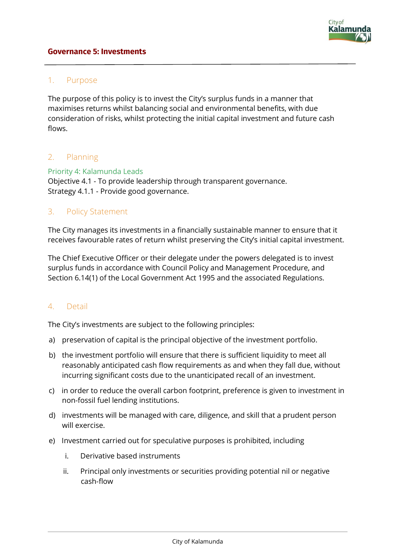#### **Governance 5: Investments**

#### 1. Purpose

The purpose of this policy is to invest the City's surplus funds in a manner that maximises returns whilst balancing social and environmental benefits, with due consideration of risks, whilst protecting the initial capital investment and future cash flows.

## 2. Planning

#### Priority 4: Kalamunda Leads

Objective 4.1 - To provide leadership through transparent governance. Strategy 4.1.1 - Provide good governance.

#### 3. Policy Statement

The City manages its investments in a financially sustainable manner to ensure that it receives favourable rates of return whilst preserving the City's initial capital investment.

The Chief Executive Officer or their delegate under the powers delegated is to invest surplus funds in accordance with Council Policy and Management Procedure, and Section 6.14(1) of the Local Government Act 1995 and the associated Regulations.

#### 4. Detail

The City's investments are subject to the following principles:

- a) preservation of capital is the principal objective of the investment portfolio.
- b) the investment portfolio will ensure that there is sufficient liquidity to meet all reasonably anticipated cash flow requirements as and when they fall due, without incurring significant costs due to the unanticipated recall of an investment.
- c) in order to reduce the overall carbon footprint, preference is given to investment in non-fossil fuel lending institutions.
- d) investments will be managed with care, diligence, and skill that a prudent person will exercise.
- e) Investment carried out for speculative purposes is prohibited, including
	- i. Derivative based instruments
	- ii. Principal only investments or securities providing potential nil or negative cash-flow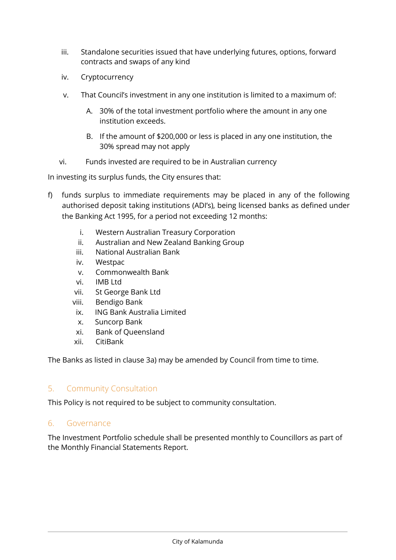- iii. Standalone securities issued that have underlying futures, options, forward contracts and swaps of any kind
- iv. Cryptocurrency
- v. That Council's investment in any one institution is limited to a maximum of:
	- A. 30% of the total investment portfolio where the amount in any one institution exceeds.
	- B. If the amount of \$200,000 or less is placed in any one institution, the 30% spread may not apply
- vi. Funds invested are required to be in Australian currency

In investing its surplus funds, the City ensures that:

- f) funds surplus to immediate requirements may be placed in any of the following authorised deposit taking institutions (ADI's), being licensed banks as defined under the Banking Act 1995, for a period not exceeding 12 months:
	- i. Western Australian Treasury Corporation
	- ii. Australian and New Zealand Banking Group
	- iii. National Australian Bank
	- iv. Westpac
	- v. Commonwealth Bank
	- vi. IMB Ltd
	- vii. St George Bank Ltd
	- viii. Bendigo Bank
	- ix. ING Bank Australia Limited
	- x. Suncorp Bank
	- xi. Bank of Queensland
	- xii. CitiBank

The Banks as listed in clause 3a) may be amended by Council from time to time.

## 5. Community Consultation

This Policy is not required to be subject to community consultation.

#### 6. Governance

The Investment Portfolio schedule shall be presented monthly to Councillors as part of the Monthly Financial Statements Report.